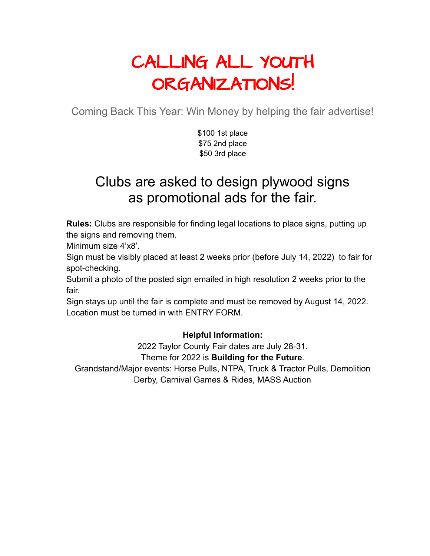## CALLING ALL YOUTH ORGANIZATIONS!

Coming Back This Year: Win Money by helping the fair advertise!

\$100 1st place \$75 2nd place \$50 3rd place

## Clubs are asked to design plywood signs as promotional ads for the fair.

**Rules:** Clubs are responsible for finding legal locations to place signs, putting up the signs and removing them.

Minimum size 4'x8'.

Sign must be visibly placed at least 2 weeks prior (before July 14, 2022) to fair for spot-checking.

Submit a photo of the posted sign emailed in high resolution 2 weeks prior to the fair.

Sign stays up until the fair is complete and must be removed by August 14, 2022. Location must be turned in with ENTRY FORM.

## **Helpful Information:**

2022 Taylor County Fair dates are July 28-31.

Theme for 2022 is **Building for the Future**.

Grandstand/Major events: Horse Pulls, NTPA, Truck & Tractor Pulls, Demolition Derby, Carnival Games & Rides, MASS Auction